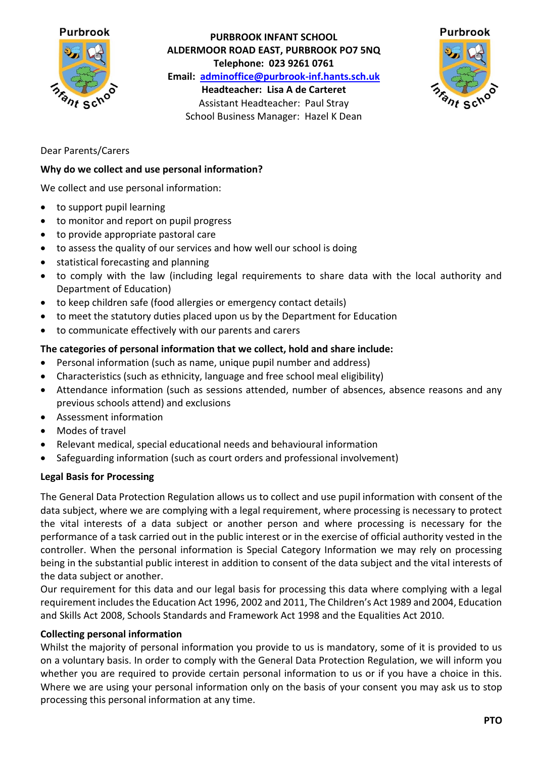

**PURBROOK INFANT SCHOOL ALDERMOOR ROAD EAST, PURBROOK PO7 5NQ Telephone: 023 9261 0761 Email: [adminoffice@purbrook-inf.hants.sch.uk](mailto:adminoffice@purbrook-inf.hants.sch.uk) Headteacher: Lisa A de Carteret** Assistant Headteacher: Paul Stray School Business Manager: Hazel K Dean



# Dear Parents/Carers

### **Why do we collect and use personal information?**

We collect and use personal information:

- to support pupil learning
- to monitor and report on pupil progress
- to provide appropriate pastoral care
- to assess the quality of our services and how well our school is doing
- statistical forecasting and planning
- to comply with the law (including legal requirements to share data with the local authority and Department of Education)
- to keep children safe (food allergies or emergency contact details)
- to meet the statutory duties placed upon us by the Department for Education
- to communicate effectively with our parents and carers

### **The categories of personal information that we collect, hold and share include:**

- Personal information (such as name, unique pupil number and address)
- Characteristics (such as ethnicity, language and free school meal eligibility)
- Attendance information (such as sessions attended, number of absences, absence reasons and any previous schools attend) and exclusions
- Assessment information
- Modes of travel
- Relevant medical, special educational needs and behavioural information
- Safeguarding information (such as court orders and professional involvement)

#### **Legal Basis for Processing**

The General Data Protection Regulation allows us to collect and use pupil information with consent of the data subject, where we are complying with a legal requirement, where processing is necessary to protect the vital interests of a data subject or another person and where processing is necessary for the performance of a task carried out in the public interest or in the exercise of official authority vested in the controller. When the personal information is Special Category Information we may rely on processing being in the substantial public interest in addition to consent of the data subject and the vital interests of the data subject or another.

Our requirement for this data and our legal basis for processing this data where complying with a legal requirement includes the Education Act 1996, 2002 and 2011, The Children's Act 1989 and 2004, Education and Skills Act 2008, Schools Standards and Framework Act 1998 and the Equalities Act 2010.

#### **Collecting personal information**

Whilst the majority of personal information you provide to us is mandatory, some of it is provided to us on a voluntary basis. In order to comply with the General Data Protection Regulation, we will inform you whether you are required to provide certain personal information to us or if you have a choice in this. Where we are using your personal information only on the basis of your consent you may ask us to stop processing this personal information at any time.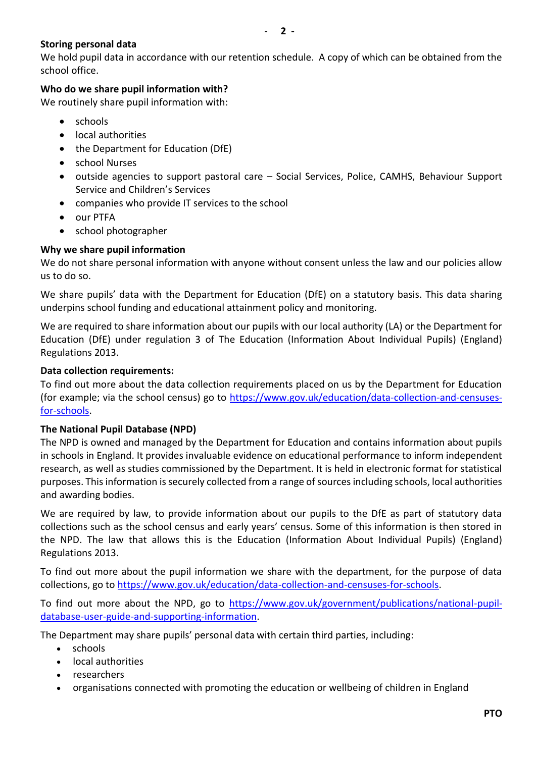# **Storing personal data**

We hold pupil data in accordance with our retention schedule. A copy of which can be obtained from the school office.

# **Who do we share pupil information with?**

We routinely share pupil information with:

- schools
- local authorities
- the Department for Education (DfE)
- school Nurses
- outside agencies to support pastoral care Social Services, Police, CAMHS, Behaviour Support Service and Children's Services
- companies who provide IT services to the school
- our PTFA
- school photographer

# **Why we share pupil information**

We do not share personal information with anyone without consent unless the law and our policies allow us to do so.

We share pupils' data with the Department for Education (DfE) on a statutory basis. This data sharing underpins school funding and educational attainment policy and monitoring.

We are required to share information about our pupils with our local authority (LA) or the Department for Education (DfE) under regulation 3 of The Education (Information About Individual Pupils) (England) Regulations 2013.

## **Data collection requirements:**

To find out more about the data collection requirements placed on us by the Department for Education (for example; via the school census) go to [https://www.gov.uk/education/data-collection-and-censuses](https://www.gov.uk/education/data-collection-and-censuses-for-schools)[for-schools.](https://www.gov.uk/education/data-collection-and-censuses-for-schools)

## **The National Pupil Database (NPD)**

The NPD is owned and managed by the Department for Education and contains information about pupils in schools in England. It provides invaluable evidence on educational performance to inform independent research, as well as studies commissioned by the Department. It is held in electronic format for statistical purposes. This information is securely collected from a range of sources including schools, local authorities and awarding bodies.

We are required by law, to provide information about our pupils to the DfE as part of statutory data collections such as the school census and early years' census. Some of this information is then stored in the NPD. The law that allows this is the Education (Information About Individual Pupils) (England) Regulations 2013.

To find out more about the pupil information we share with the department, for the purpose of data collections, go to [https://www.gov.uk/education/data-collection-and-censuses-for-schools.](https://www.gov.uk/education/data-collection-and-censuses-for-schools)

To find out more about the NPD, go to [https://www.gov.uk/government/publications/national-pupil](https://www.gov.uk/government/publications/national-pupil-database-user-guide-and-supporting-information)[database-user-guide-and-supporting-information.](https://www.gov.uk/government/publications/national-pupil-database-user-guide-and-supporting-information)

The Department may share pupils' personal data with certain third parties, including:

- schools
- local authorities
- researchers
- organisations connected with promoting the education or wellbeing of children in England